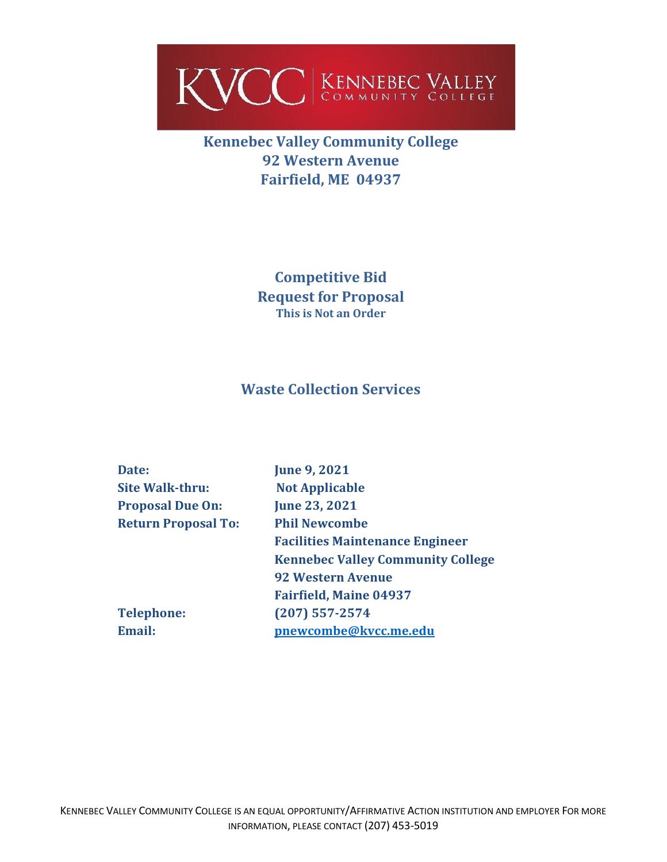

## **Kennebec Valley Community College 92 Western Avenue Fairfield, ME 04937**

**Competitive Bid Request for Proposal This is Not an Order**

## **Waste Collection Services**

| Date:                      | <b>June 9, 2021</b>                      |
|----------------------------|------------------------------------------|
|                            |                                          |
| <b>Site Walk-thru:</b>     | <b>Not Applicable</b>                    |
| <b>Proposal Due On:</b>    | <b>June 23, 2021</b>                     |
| <b>Return Proposal To:</b> | <b>Phil Newcombe</b>                     |
|                            | <b>Facilities Maintenance Engineer</b>   |
|                            | <b>Kennebec Valley Community College</b> |
|                            | <b>92 Western Avenue</b>                 |
|                            | <b>Fairfield, Maine 04937</b>            |
| <b>Telephone:</b>          | $(207)$ 557-2574                         |
| <b>Email:</b>              | pnewcombe@kvcc.me.edu                    |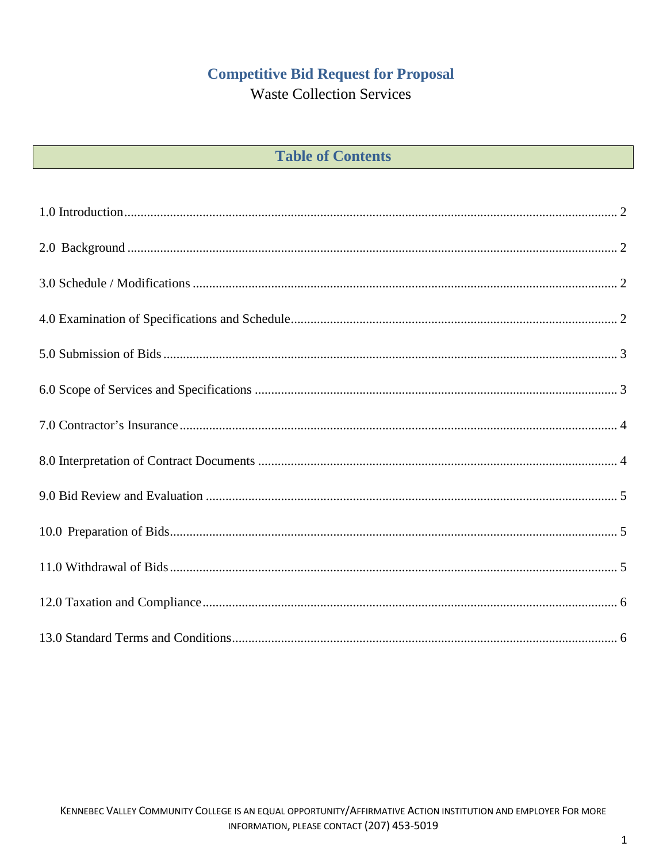# **Competitive Bid Request for Proposal**

**Waste Collection Services** 

| <b>Table of Contents</b> |  |  |  |
|--------------------------|--|--|--|
|--------------------------|--|--|--|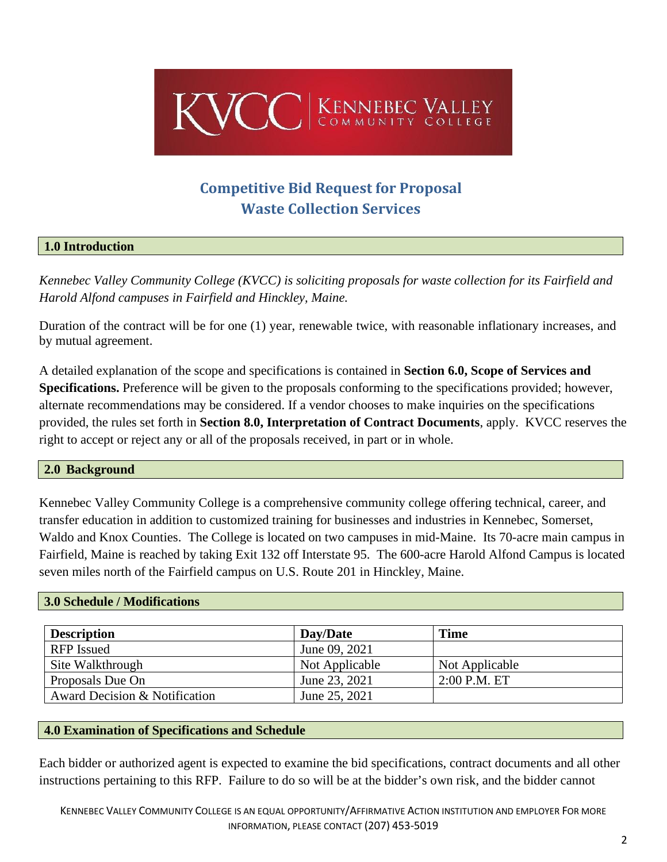

# **Competitive Bid Request for Proposal Waste Collection Services**

#### <span id="page-2-0"></span>**1.0 Introduction**

*Kennebec Valley Community College (KVCC) is soliciting proposals for waste collection for its Fairfield and Harold Alfond campuses in Fairfield and Hinckley, Maine.*

Duration of the contract will be for one (1) year, renewable twice, with reasonable inflationary increases, and by mutual agreement.

A detailed explanation of the scope and specifications is contained in **Section 6.0, Scope of Services and Specifications.** Preference will be given to the proposals conforming to the specifications provided; however, alternate recommendations may be considered. If a vendor chooses to make inquiries on the specifications provided, the rules set forth in **Section 8.0, Interpretation of Contract Documents**, apply. KVCC reserves the right to accept or reject any or all of the proposals received, in part or in whole.

#### <span id="page-2-1"></span>**2.0 Background**

Kennebec Valley Community College is a comprehensive community college offering technical, career, and transfer education in addition to customized training for businesses and industries in Kennebec, Somerset, Waldo and Knox Counties. The College is located on two campuses in mid-Maine. Its 70-acre main campus in Fairfield, Maine is reached by taking Exit 132 off Interstate 95. The 600-acre Harold Alfond Campus is located seven miles north of the Fairfield campus on U.S. Route 201 in Hinckley, Maine.

#### <span id="page-2-2"></span>**3.0 Schedule / Modifications**

| <b>Description</b>            | Day/Date       | <b>Time</b>    |  |
|-------------------------------|----------------|----------------|--|
| <b>RFP</b> Issued             | June 09, 2021  |                |  |
| Site Walkthrough              | Not Applicable | Not Applicable |  |
| Proposals Due On              | June 23, 2021  | $2:00$ P.M. ET |  |
| Award Decision & Notification | June 25, 2021  |                |  |

#### <span id="page-2-3"></span>**4.0 Examination of Specifications and Schedule**

Each bidder or authorized agent is expected to examine the bid specifications, contract documents and all other instructions pertaining to this RFP. Failure to do so will be at the bidder's own risk, and the bidder cannot

KENNEBEC VALLEY COMMUNITY COLLEGE IS AN EQUAL OPPORTUNITY/AFFIRMATIVE ACTION INSTITUTION AND EMPLOYER FOR MORE INFORMATION, PLEASE CONTACT (207) 453-5019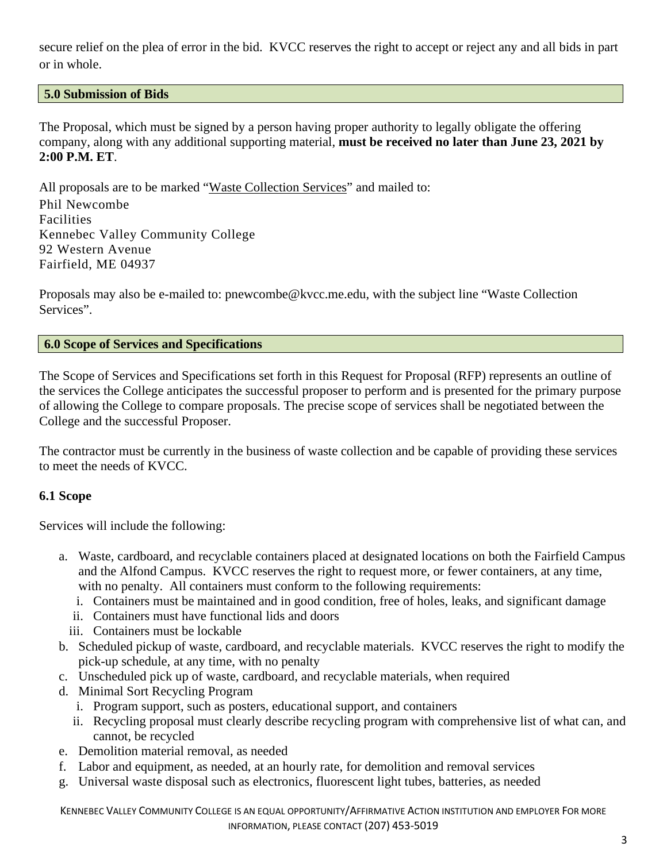secure relief on the plea of error in the bid. KVCC reserves the right to accept or reject any and all bids in part or in whole.

#### <span id="page-3-0"></span>**5.0 Submission of Bids**

The Proposal, which must be signed by a person having proper authority to legally obligate the offering company, along with any additional supporting material, **must be received no later than June 23, 2021 by 2:00 P.M. ET**.

All proposals are to be marked "Waste Collection Services" and mailed to: Phil Newcombe Facilities Kennebec Valley Community College 92 Western Avenue Fairfield, ME 04937

Proposals may also be e-mailed to: pnewcombe@kvcc.me.edu, with the subject line "Waste Collection Services".

#### <span id="page-3-1"></span>**6.0 Scope of Services and Specifications**

The Scope of Services and Specifications set forth in this Request for Proposal (RFP) represents an outline of the services the College anticipates the successful proposer to perform and is presented for the primary purpose of allowing the College to compare proposals. The precise scope of services shall be negotiated between the College and the successful Proposer.

The contractor must be currently in the business of waste collection and be capable of providing these services to meet the needs of KVCC.

#### **6.1 Scope**

Services will include the following:

- a. Waste, cardboard, and recyclable containers placed at designated locations on both the Fairfield Campus and the Alfond Campus. KVCC reserves the right to request more, or fewer containers, at any time, with no penalty. All containers must conform to the following requirements:
	- i. Containers must be maintained and in good condition, free of holes, leaks, and significant damage
	- ii. Containers must have functional lids and doors
	- iii. Containers must be lockable
- b. Scheduled pickup of waste, cardboard, and recyclable materials. KVCC reserves the right to modify the pick-up schedule, at any time, with no penalty
- c. Unscheduled pick up of waste, cardboard, and recyclable materials, when required
- d. Minimal Sort Recycling Program
	- i. Program support, such as posters, educational support, and containers
	- ii. Recycling proposal must clearly describe recycling program with comprehensive list of what can, and cannot, be recycled
- e. Demolition material removal, as needed
- f. Labor and equipment, as needed, at an hourly rate, for demolition and removal services
- g. Universal waste disposal such as electronics, fluorescent light tubes, batteries, as needed

KENNEBEC VALLEY COMMUNITY COLLEGE IS AN EQUAL OPPORTUNITY/AFFIRMATIVE ACTION INSTITUTION AND EMPLOYER FOR MORE INFORMATION, PLEASE CONTACT (207) 453-5019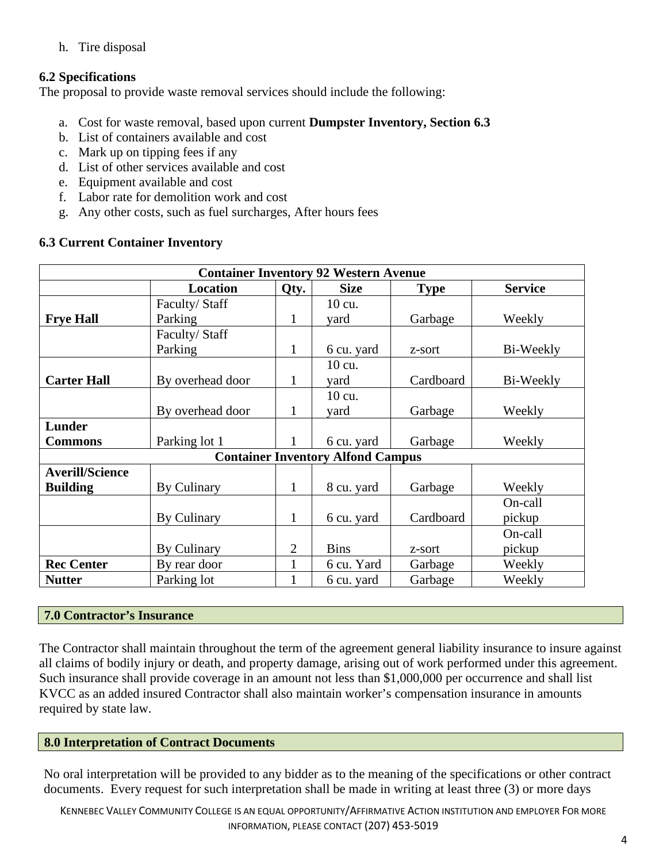h. Tire disposal

### **6.2 Specifications**

The proposal to provide waste removal services should include the following:

- a. Cost for waste removal, based upon current **Dumpster Inventory, Section 6.3**
- b. List of containers available and cost
- c. Mark up on tipping fees if any
- d. List of other services available and cost
- e. Equipment available and cost
- f. Labor rate for demolition work and cost
- g. Any other costs, such as fuel surcharges, After hours fees

#### **6.3 Current Container Inventory**

| <b>Container Inventory 92 Western Avenue</b> |                  |                |             |             |                |  |  |
|----------------------------------------------|------------------|----------------|-------------|-------------|----------------|--|--|
|                                              | <b>Location</b>  | Qty.           | <b>Size</b> | <b>Type</b> | <b>Service</b> |  |  |
|                                              | Faculty/Staff    |                | 10 cu.      |             |                |  |  |
| <b>Frye Hall</b>                             | Parking          | $\mathbf 1$    | yard        | Garbage     | Weekly         |  |  |
|                                              | Faculty/Staff    |                |             |             |                |  |  |
|                                              | Parking          | 1              | 6 cu. yard  | z-sort      | Bi-Weekly      |  |  |
|                                              |                  |                | 10 cu.      |             |                |  |  |
| <b>Carter Hall</b>                           | By overhead door | 1              | yard        | Cardboard   | Bi-Weekly      |  |  |
|                                              |                  |                | 10 cu.      |             |                |  |  |
|                                              | By overhead door | 1              | yard        | Garbage     | Weekly         |  |  |
| <b>Lunder</b>                                |                  |                |             |             |                |  |  |
| <b>Commons</b>                               | Parking lot 1    |                | 6 cu. yard  | Garbage     | Weekly         |  |  |
| <b>Container Inventory Alfond Campus</b>     |                  |                |             |             |                |  |  |
| <b>Averill/Science</b>                       |                  |                |             |             |                |  |  |
| <b>Building</b>                              | By Culinary      | 1              | 8 cu. yard  | Garbage     | Weekly         |  |  |
|                                              |                  |                |             |             | On-call        |  |  |
|                                              | By Culinary      | 1              | 6 cu. yard  | Cardboard   | pickup         |  |  |
|                                              |                  |                |             |             | On-call        |  |  |
|                                              | By Culinary      | $\overline{2}$ | <b>Bins</b> | z-sort      | pickup         |  |  |
| <b>Rec Center</b>                            | By rear door     |                | 6 cu. Yard  | Garbage     | Weekly         |  |  |
| <b>Nutter</b>                                | Parking lot      |                | 6 cu. yard  | Garbage     | Weekly         |  |  |

#### <span id="page-4-0"></span>**7.0 Contractor's Insurance**

The Contractor shall maintain throughout the term of the agreement general liability insurance to insure against all claims of bodily injury or death, and property damage, arising out of work performed under this agreement. Such insurance shall provide coverage in an amount not less than \$1,000,000 per occurrence and shall list KVCC as an added insured Contractor shall also maintain worker's compensation insurance in amounts required by state law.

#### <span id="page-4-1"></span>**8.0 Interpretation of Contract Documents**

No oral interpretation will be provided to any bidder as to the meaning of the specifications or other contract documents. Every request for such interpretation shall be made in writing at least three (3) or more days

KENNEBEC VALLEY COMMUNITY COLLEGE IS AN EQUAL OPPORTUNITY/AFFIRMATIVE ACTION INSTITUTION AND EMPLOYER FOR MORE INFORMATION, PLEASE CONTACT (207) 453-5019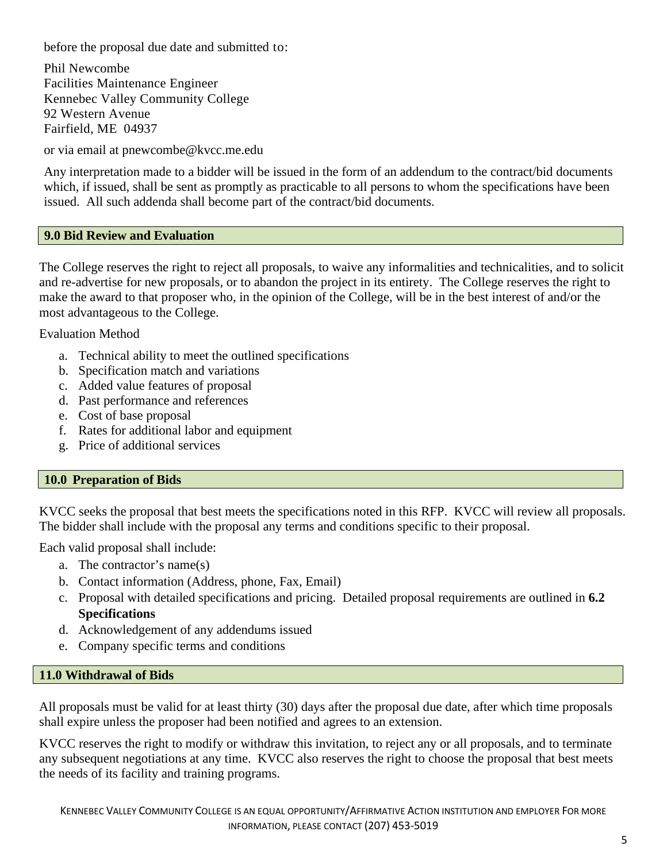before the proposal due date and submitted to:

Phil Newcombe Facilities Maintenance Engineer Kennebec Valley Community College 92 Western Avenue Fairfield, ME 04937

or via email at pnewcombe@kvcc.me.edu

Any interpretation made to a bidder will be issued in the form of an addendum to the contract/bid documents which, if issued, shall be sent as promptly as practicable to all persons to whom the specifications have been issued. All such addenda shall become part of the contract/bid documents.

#### <span id="page-5-0"></span>**9.0 Bid Review and Evaluation**

The College reserves the right to reject all proposals, to waive any informalities and technicalities, and to solicit and re-advertise for new proposals, or to abandon the project in its entirety. The College reserves the right to make the award to that proposer who, in the opinion of the College, will be in the best interest of and/or the most advantageous to the College.

Evaluation Method

- a. Technical ability to meet the outlined specifications
- b. Specification match and variations
- c. Added value features of proposal
- d. Past performance and references
- e. Cost of base proposal
- f. Rates for additional labor and equipment
- g. Price of additional services

#### <span id="page-5-1"></span>**10.0 Preparation of Bids**

KVCC seeks the proposal that best meets the specifications noted in this RFP. KVCC will review all proposals. The bidder shall include with the proposal any terms and conditions specific to their proposal.

Each valid proposal shall include:

- a. The contractor's name(s)
- b. Contact information (Address, phone, Fax, Email)
- c. Proposal with detailed specifications and pricing. Detailed proposal requirements are outlined in **6.2 Specifications**
- d. Acknowledgement of any addendums issued
- e. Company specific terms and conditions

#### <span id="page-5-2"></span>**11.0 Withdrawal of Bids**

All proposals must be valid for at least thirty (30) days after the proposal due date, after which time proposals shall expire unless the proposer had been notified and agrees to an extension.

KVCC reserves the right to modify or withdraw this invitation, to reject any or all proposals, and to terminate any subsequent negotiations at any time. KVCC also reserves the right to choose the proposal that best meets the needs of its facility and training programs.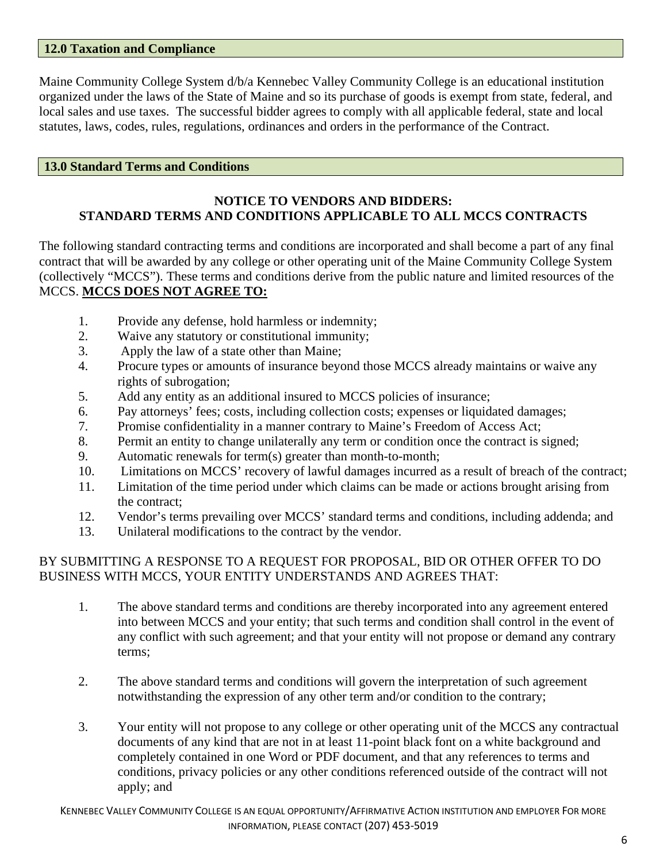#### <span id="page-6-0"></span>**12.0 Taxation and Compliance**

Maine Community College System d/b/a Kennebec Valley Community College is an educational institution organized under the laws of the State of Maine and so its purchase of goods is exempt from state, federal, and local sales and use taxes. The successful bidder agrees to comply with all applicable federal, state and local statutes, laws, codes, rules, regulations, ordinances and orders in the performance of the Contract.

#### <span id="page-6-1"></span>**13.0 Standard Terms and Conditions**

#### **NOTICE TO VENDORS AND BIDDERS: STANDARD TERMS AND CONDITIONS APPLICABLE TO ALL MCCS CONTRACTS**

The following standard contracting terms and conditions are incorporated and shall become a part of any final contract that will be awarded by any college or other operating unit of the Maine Community College System (collectively "MCCS"). These terms and conditions derive from the public nature and limited resources of the MCCS. **MCCS DOES NOT AGREE TO:**

- 1. Provide any defense, hold harmless or indemnity;
- 2. Waive any statutory or constitutional immunity;
- 3. Apply the law of a state other than Maine;
- 4. Procure types or amounts of insurance beyond those MCCS already maintains or waive any rights of subrogation;
- 5. Add any entity as an additional insured to MCCS policies of insurance;
- 6. Pay attorneys' fees; costs, including collection costs; expenses or liquidated damages;
- 7. Promise confidentiality in a manner contrary to Maine's Freedom of Access Act;
- 8. Permit an entity to change unilaterally any term or condition once the contract is signed;
- 9. Automatic renewals for term(s) greater than month-to-month;
- 10. Limitations on MCCS' recovery of lawful damages incurred as a result of breach of the contract;
- 11. Limitation of the time period under which claims can be made or actions brought arising from the contract;
- 12. Vendor's terms prevailing over MCCS' standard terms and conditions, including addenda; and
- 13. Unilateral modifications to the contract by the vendor.

### BY SUBMITTING A RESPONSE TO A REQUEST FOR PROPOSAL, BID OR OTHER OFFER TO DO BUSINESS WITH MCCS, YOUR ENTITY UNDERSTANDS AND AGREES THAT:

- 1. The above standard terms and conditions are thereby incorporated into any agreement entered into between MCCS and your entity; that such terms and condition shall control in the event of any conflict with such agreement; and that your entity will not propose or demand any contrary terms;
- 2. The above standard terms and conditions will govern the interpretation of such agreement notwithstanding the expression of any other term and/or condition to the contrary;
- 3. Your entity will not propose to any college or other operating unit of the MCCS any contractual documents of any kind that are not in at least 11-point black font on a white background and completely contained in one Word or PDF document, and that any references to terms and conditions, privacy policies or any other conditions referenced outside of the contract will not apply; and